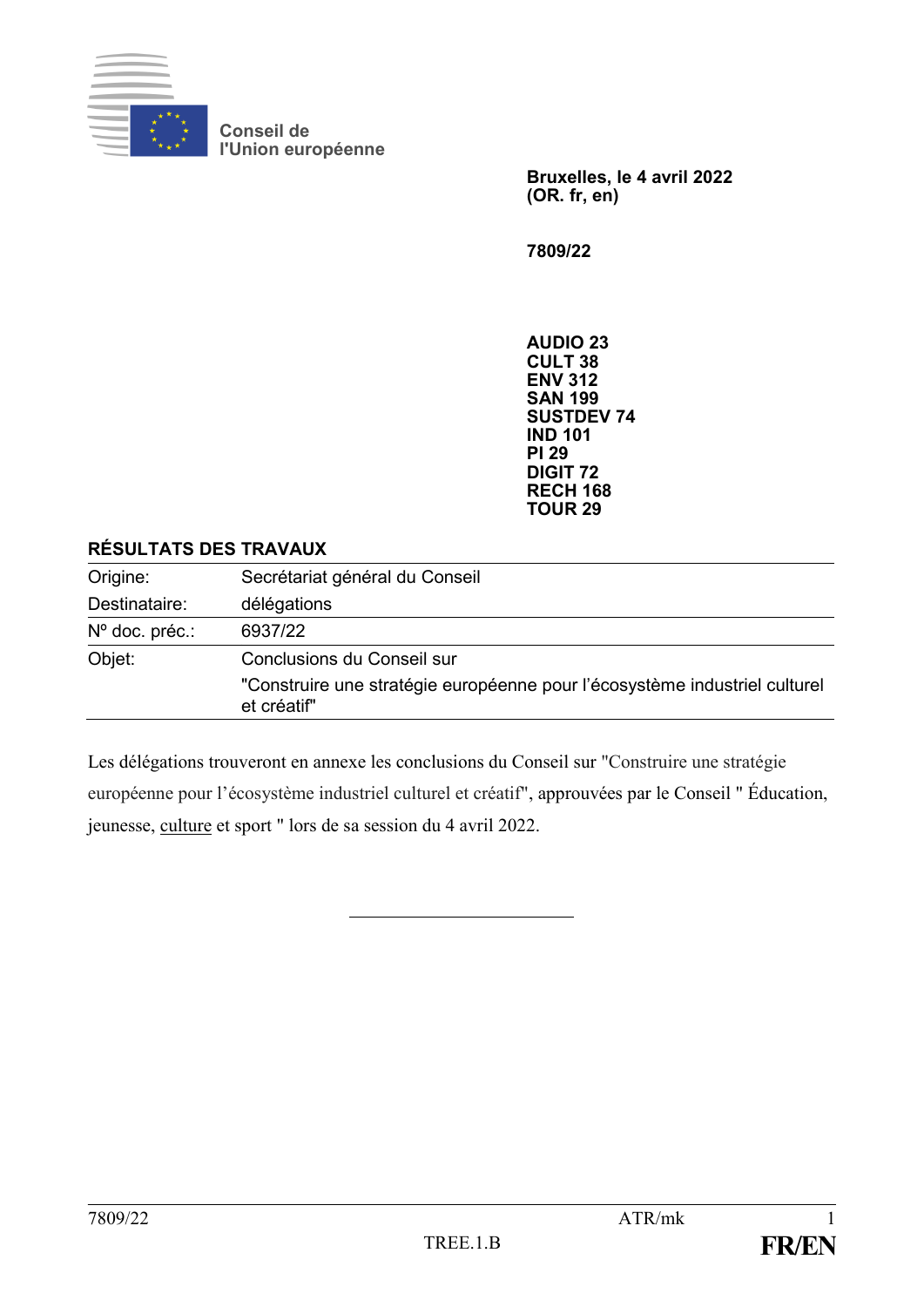

**Conseil de l'Union européenne**

> **Bruxelles, le 4 avril 2022 (OR. fr, en)**

**7809/22**

**AUDIO 23 CULT 38 ENV 312 SAN 199 SUSTDEV 74 IND 101 PI 29 DIGIT 72 RECH 168 TOUR 29**

#### **RÉSULTATS DES TRAVAUX**

| Origine:       | Secrétariat général du Conseil                                                            |
|----------------|-------------------------------------------------------------------------------------------|
| Destinataire:  | délégations                                                                               |
| Nº doc. préc.: | 6937/22                                                                                   |
| Objet:         | Conclusions du Conseil sur                                                                |
|                | "Construire une stratégie européenne pour l'écosystème industriel culturel<br>et créatif" |

Les délégations trouveront en annexe les conclusions du Conseil sur "Construire une stratégie européenne pour l'écosystème industriel culturel et créatif", approuvées par le Conseil " Éducation, jeunesse, culture et sport " lors de sa session du 4 avril 2022.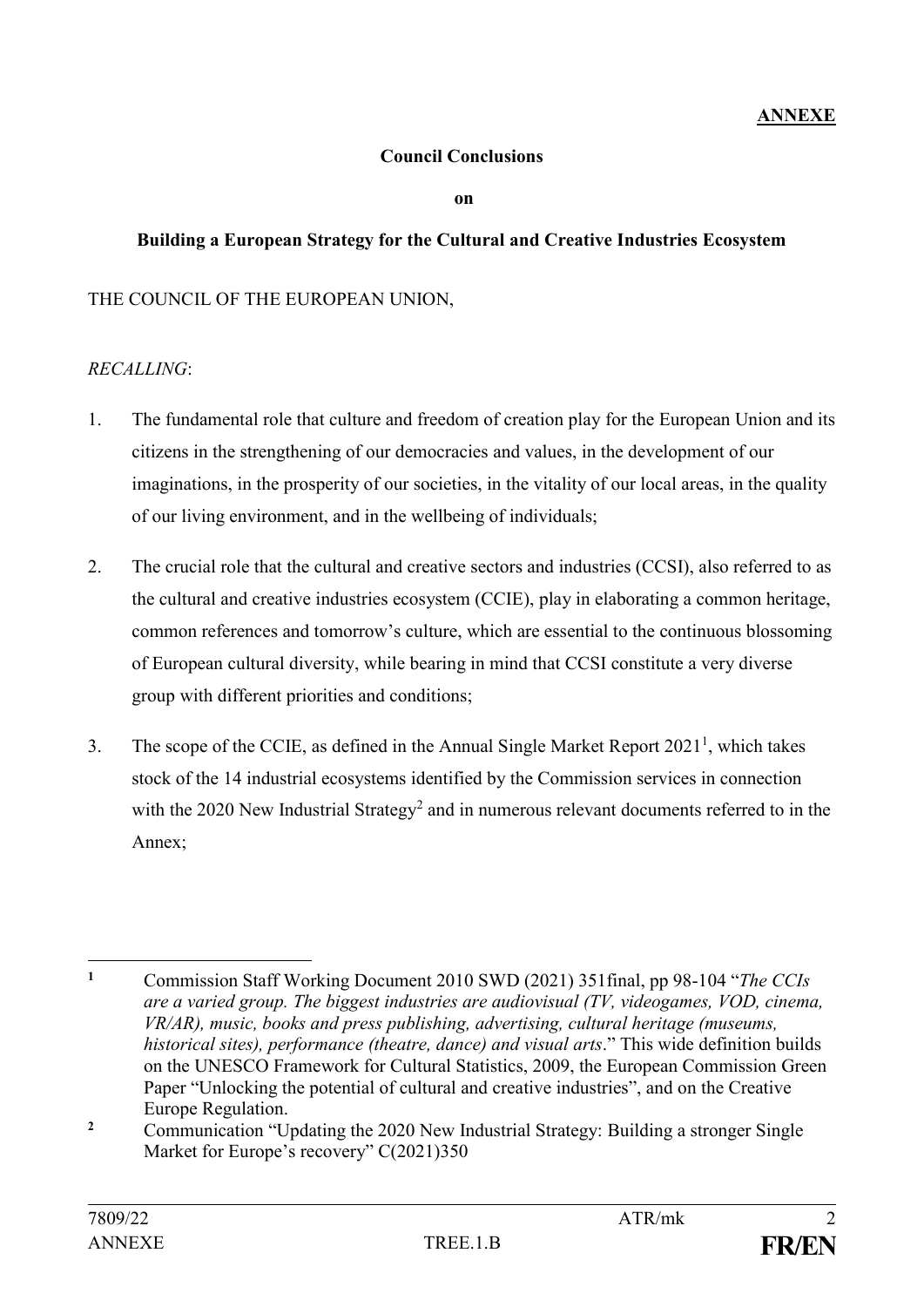#### **Council Conclusions**

**on** 

### **Building a European Strategy for the Cultural and Creative Industries Ecosystem**

## THE COUNCIL OF THE EUROPEAN UNION,

#### *RECALLING*:

- 1. The fundamental role that culture and freedom of creation play for the European Union and its citizens in the strengthening of our democracies and values, in the development of our imaginations, in the prosperity of our societies, in the vitality of our local areas, in the quality of our living environment, and in the wellbeing of individuals;
- 2. The crucial role that the cultural and creative sectors and industries (CCSI), also referred to as the cultural and creative industries ecosystem (CCIE), play in elaborating a common heritage, common references and tomorrow's culture, which are essential to the continuous blossoming of European cultural diversity, while bearing in mind that CCSI constitute a very diverse group with different priorities and conditions;
- 3. The scope of the CCIE, as defined in the Annual Single Market Report  $2021<sup>1</sup>$ , which takes stock of the 14 industrial ecosystems identified by the Commission services in connection with the 2020 New Industrial Strategy<sup>2</sup> and in numerous relevant documents referred to in the Annex;

 $\mathbf{1}$ **<sup>1</sup>** Commission Staff Working Document 2010 SWD (2021) 351final, pp 98-104 "*The CCIs are a varied group. The biggest industries are audiovisual (TV, videogames, VOD, cinema, VR/AR), music, books and press publishing, advertising, cultural heritage (museums, historical sites), performance (theatre, dance) and visual arts*." This wide definition builds on the UNESCO Framework for Cultural Statistics, 2009, the European Commission Green Paper "Unlocking the potential of cultural and creative industries", and on the Creative Europe Regulation.

<sup>&</sup>lt;sup>2</sup> Communication "Updating the 2020 New Industrial Strategy: Building a stronger Single Market for Europe's recovery" C(2021)350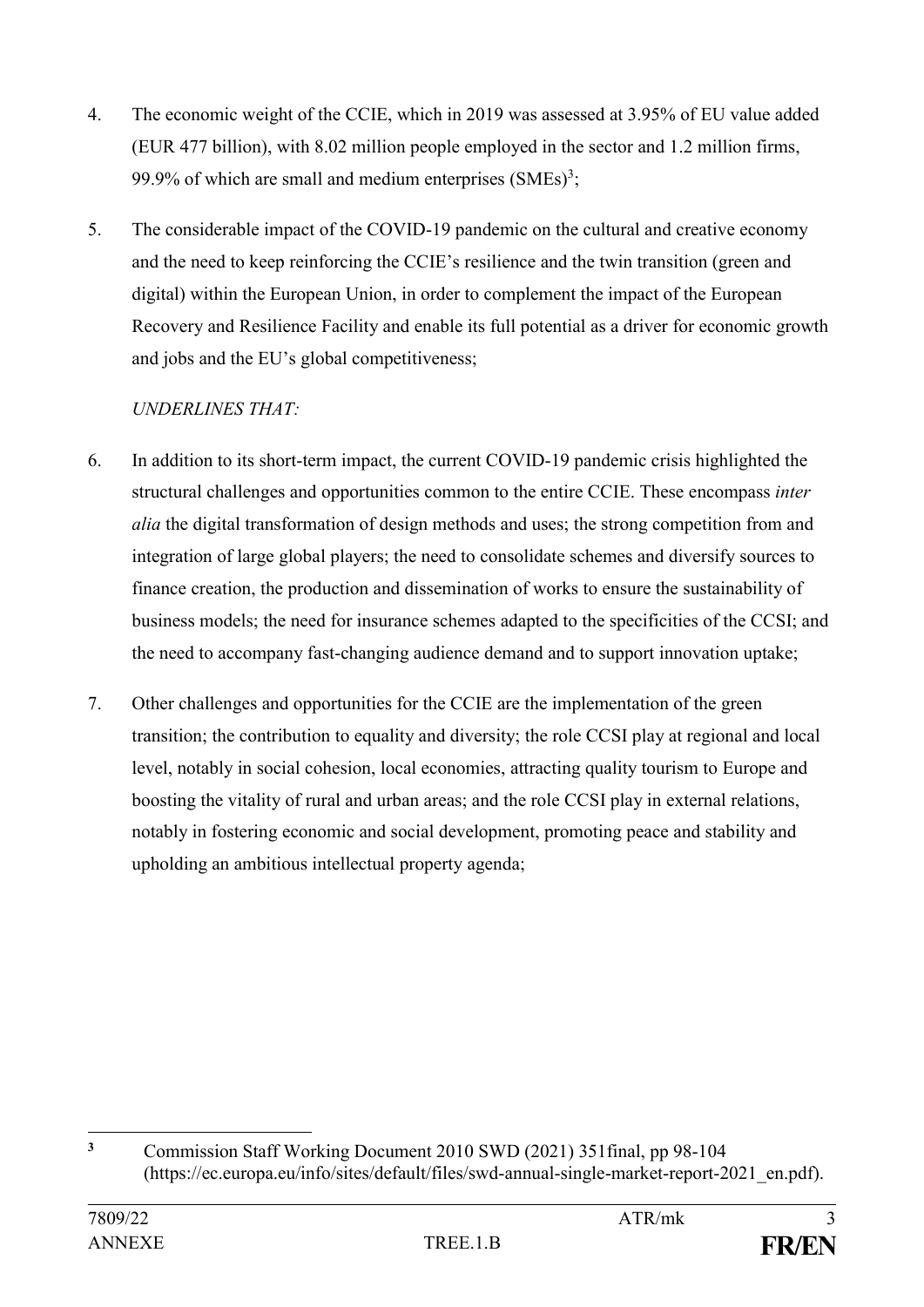- 4. The economic weight of the CCIE, which in 2019 was assessed at 3.95% of EU value added (EUR 477 billion), with 8.02 million people employed in the sector and 1.2 million firms, 99.9% of which are small and medium enterprises  $(SMEs)<sup>3</sup>$ ;
- 5. The considerable impact of the COVID-19 pandemic on the cultural and creative economy and the need to keep reinforcing the CCIE's resilience and the twin transition (green and digital) within the European Union, in order to complement the impact of the European Recovery and Resilience Facility and enable its full potential as a driver for economic growth and jobs and the EU's global competitiveness;

## *UNDERLINES THAT:*

- 6. In addition to its short-term impact, the current COVID-19 pandemic crisis highlighted the structural challenges and opportunities common to the entire CCIE. These encompass *inter alia* the digital transformation of design methods and uses; the strong competition from and integration of large global players; the need to consolidate schemes and diversify sources to finance creation, the production and dissemination of works to ensure the sustainability of business models; the need for insurance schemes adapted to the specificities of the CCSI; and the need to accompany fast-changing audience demand and to support innovation uptake;
- 7. Other challenges and opportunities for the CCIE are the implementation of the green transition; the contribution to equality and diversity; the role CCSI play at regional and local level, notably in social cohesion, local economies, attracting quality tourism to Europe and boosting the vitality of rural and urban areas; and the role CCSI play in external relations, notably in fostering economic and social development, promoting peace and stability and upholding an ambitious intellectual property agenda;

 $\overline{\mathbf{3}}$ **<sup>3</sup>** Commission Staff Working Document 2010 SWD (2021) 351final, pp 98-104 (https://ec.europa.eu/info/sites/default/files/swd-annual-single-market-report-2021\_en.pdf).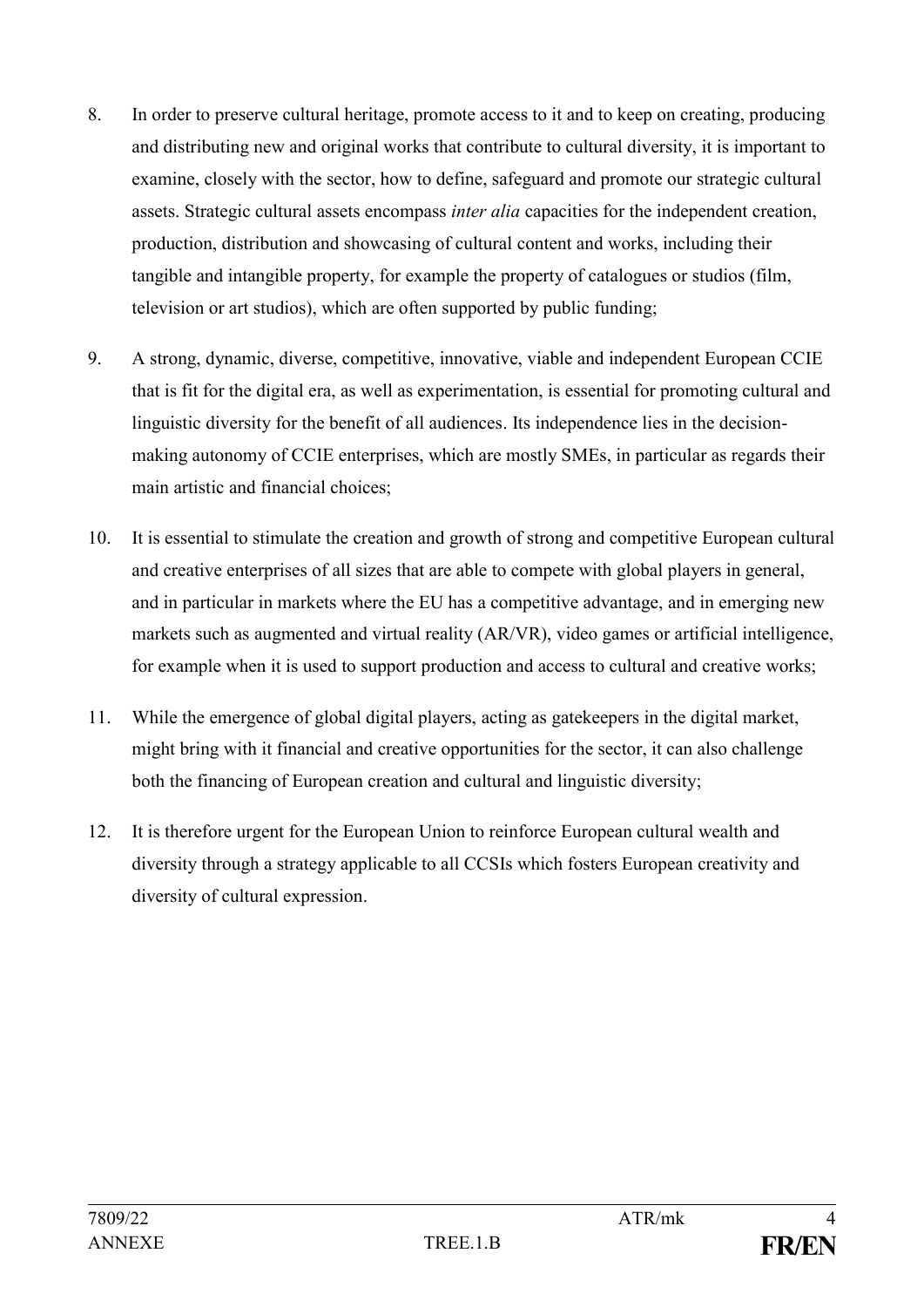- 8. In order to preserve cultural heritage, promote access to it and to keep on creating, producing and distributing new and original works that contribute to cultural diversity, it is important to examine, closely with the sector, how to define, safeguard and promote our strategic cultural assets. Strategic cultural assets encompass *inter alia* capacities for the independent creation, production, distribution and showcasing of cultural content and works, including their tangible and intangible property, for example the property of catalogues or studios (film, television or art studios), which are often supported by public funding;
- 9. A strong, dynamic, diverse, competitive, innovative, viable and independent European CCIE that is fit for the digital era, as well as experimentation, is essential for promoting cultural and linguistic diversity for the benefit of all audiences. Its independence lies in the decisionmaking autonomy of CCIE enterprises, which are mostly SMEs, in particular as regards their main artistic and financial choices;
- 10. It is essential to stimulate the creation and growth of strong and competitive European cultural and creative enterprises of all sizes that are able to compete with global players in general, and in particular in markets where the EU has a competitive advantage, and in emerging new markets such as augmented and virtual reality (AR/VR), video games or artificial intelligence, for example when it is used to support production and access to cultural and creative works;
- 11. While the emergence of global digital players, acting as gatekeepers in the digital market, might bring with it financial and creative opportunities for the sector, it can also challenge both the financing of European creation and cultural and linguistic diversity;
- 12. It is therefore urgent for the European Union to reinforce European cultural wealth and diversity through a strategy applicable to all CCSIs which fosters European creativity and diversity of cultural expression.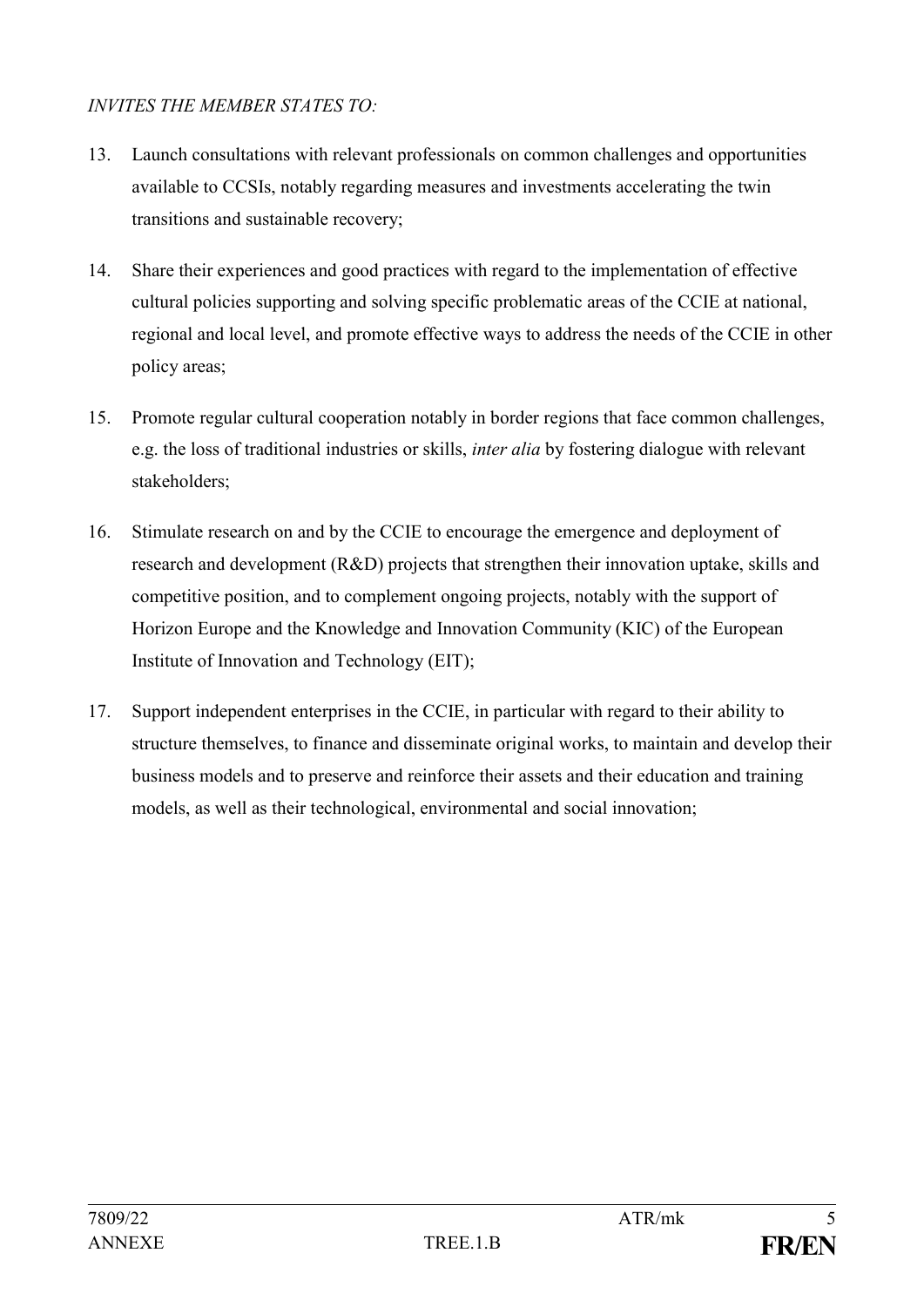## *INVITES THE MEMBER STATES TO:*

- 13. Launch consultations with relevant professionals on common challenges and opportunities available to CCSIs, notably regarding measures and investments accelerating the twin transitions and sustainable recovery;
- 14. Share their experiences and good practices with regard to the implementation of effective cultural policies supporting and solving specific problematic areas of the CCIE at national, regional and local level, and promote effective ways to address the needs of the CCIE in other policy areas;
- 15. Promote regular cultural cooperation notably in border regions that face common challenges, e.g. the loss of traditional industries or skills, *inter alia* by fostering dialogue with relevant stakeholders;
- 16. Stimulate research on and by the CCIE to encourage the emergence and deployment of research and development (R&D) projects that strengthen their innovation uptake, skills and competitive position, and to complement ongoing projects, notably with the support of Horizon Europe and the Knowledge and Innovation Community (KIC) of the European Institute of Innovation and Technology (EIT);
- 17. Support independent enterprises in the CCIE, in particular with regard to their ability to structure themselves, to finance and disseminate original works, to maintain and develop their business models and to preserve and reinforce their assets and their education and training models, as well as their technological, environmental and social innovation;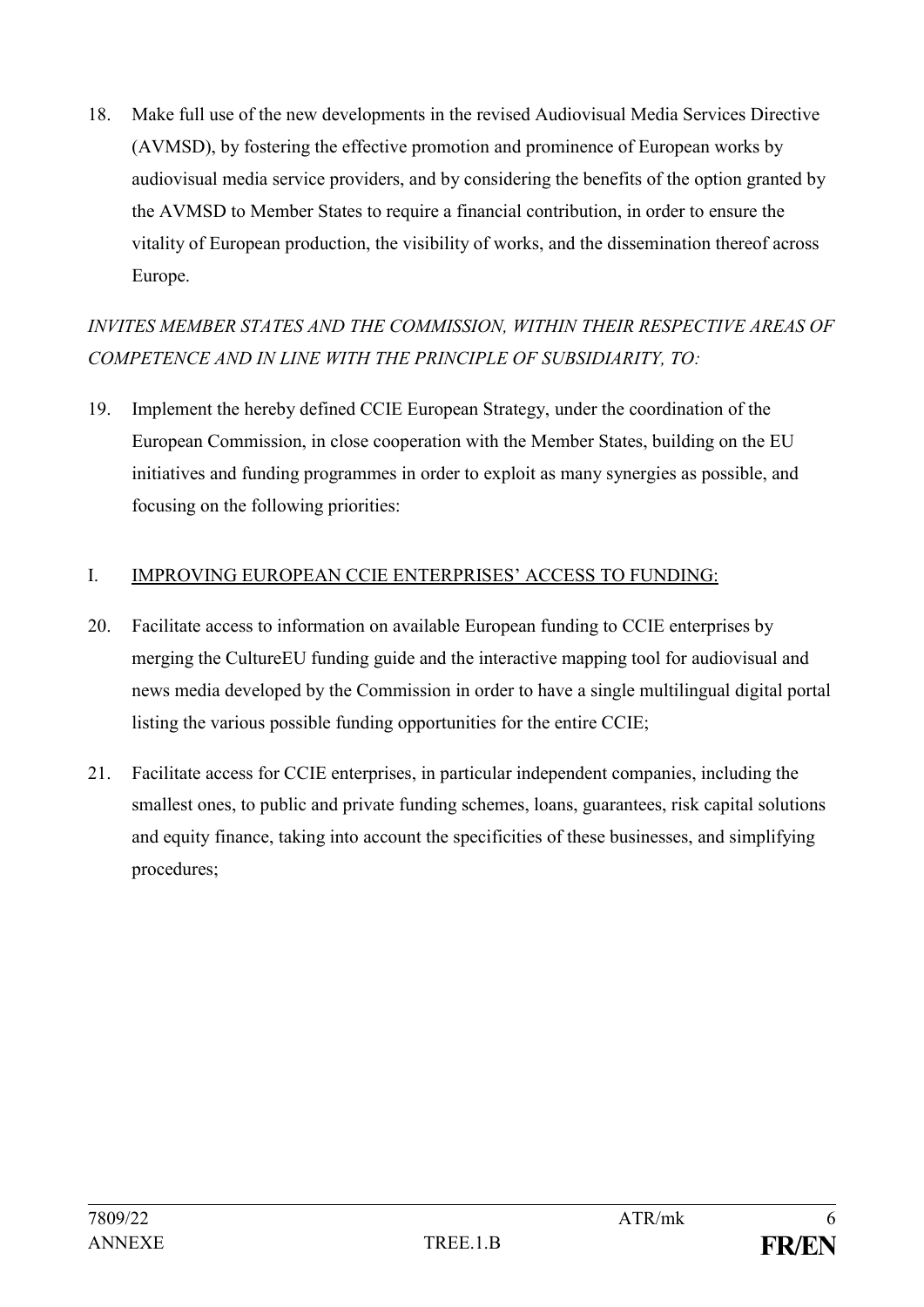18. Make full use of the new developments in the revised Audiovisual Media Services Directive (AVMSD), by fostering the effective promotion and prominence of European works by audiovisual media service providers, and by considering the benefits of the option granted by the AVMSD to Member States to require a financial contribution, in order to ensure the vitality of European production, the visibility of works, and the dissemination thereof across Europe.

# *INVITES MEMBER STATES AND THE COMMISSION, WITHIN THEIR RESPECTIVE AREAS OF COMPETENCE AND IN LINE WITH THE PRINCIPLE OF SUBSIDIARITY, TO:*

19. Implement the hereby defined CCIE European Strategy, under the coordination of the European Commission, in close cooperation with the Member States, building on the EU initiatives and funding programmes in order to exploit as many synergies as possible, and focusing on the following priorities:

## I. IMPROVING EUROPEAN CCIE ENTERPRISES' ACCESS TO FUNDING:

- 20. Facilitate access to information on available European funding to CCIE enterprises by merging the CultureEU funding guide and the interactive mapping tool for audiovisual and news media developed by the Commission in order to have a single multilingual digital portal listing the various possible funding opportunities for the entire CCIE;
- 21. Facilitate access for CCIE enterprises, in particular independent companies, including the smallest ones, to public and private funding schemes, loans, guarantees, risk capital solutions and equity finance, taking into account the specificities of these businesses, and simplifying procedures;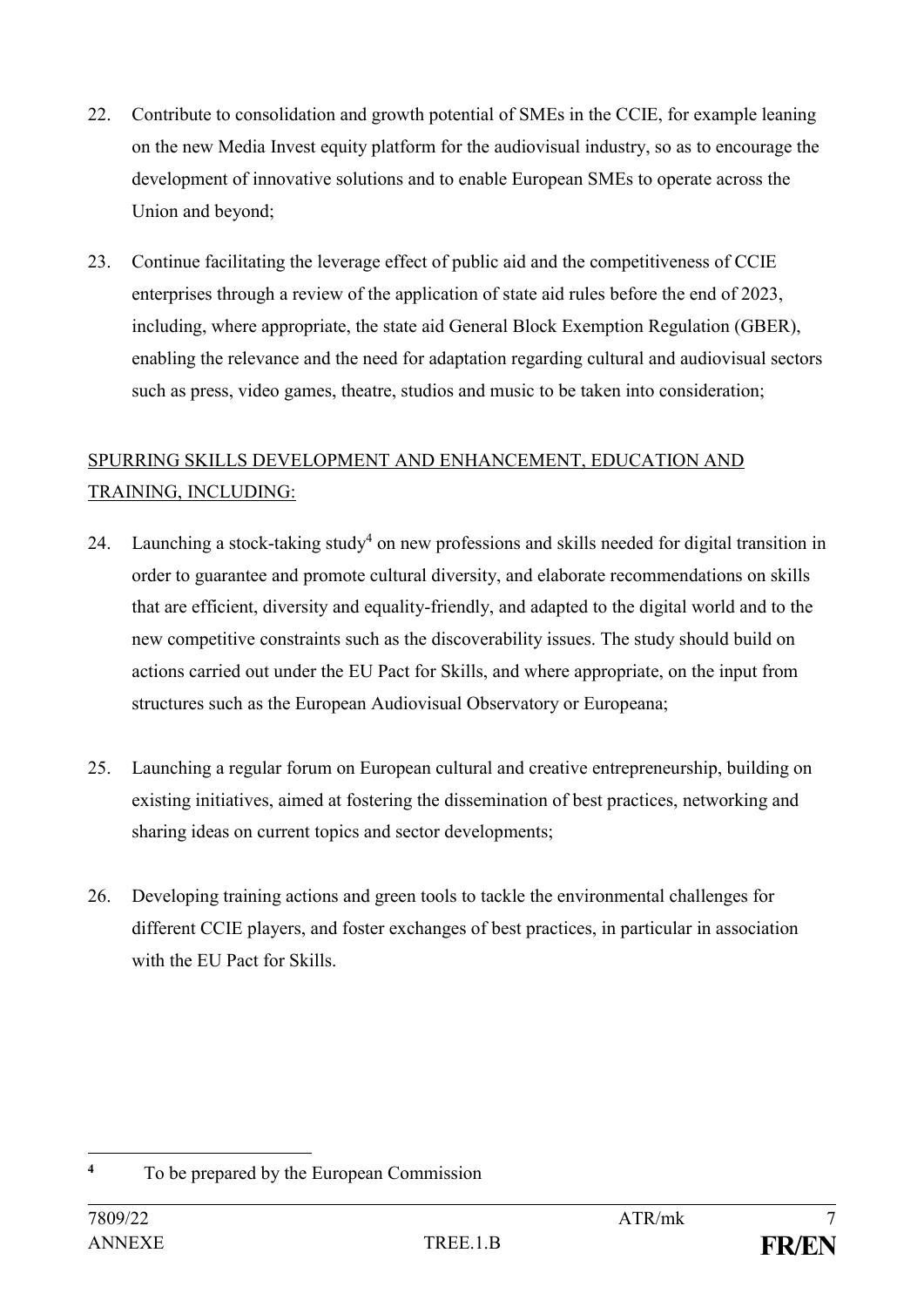- 22. Contribute to consolidation and growth potential of SMEs in the CCIE, for example leaning on the new Media Invest equity platform for the audiovisual industry, so as to encourage the development of innovative solutions and to enable European SMEs to operate across the Union and beyond;
- 23. Continue facilitating the leverage effect of public aid and the competitiveness of CCIE enterprises through a review of the application of state aid rules before the end of 2023, including, where appropriate, the state aid General Block Exemption Regulation (GBER), enabling the relevance and the need for adaptation regarding cultural and audiovisual sectors such as press, video games, theatre, studios and music to be taken into consideration;

## SPURRING SKILLS DEVELOPMENT AND ENHANCEMENT, EDUCATION AND TRAINING, INCLUDING:

- 24. Launching a stock-taking study<sup>4</sup> on new professions and skills needed for digital transition in order to guarantee and promote cultural diversity, and elaborate recommendations on skills that are efficient, diversity and equality-friendly, and adapted to the digital world and to the new competitive constraints such as the discoverability issues. The study should build on actions carried out under the EU Pact for Skills, and where appropriate, on the input from structures such as the European Audiovisual Observatory or Europeana;
- 25. Launching a regular forum on European cultural and creative entrepreneurship, building on existing initiatives, aimed at fostering the dissemination of best practices, networking and sharing ideas on current topics and sector developments;
- 26. Developing training actions and green tools to tackle the environmental challenges for different CCIE players, and foster exchanges of best practices, in particular in association with the EU Pact for Skills.

<sup>&</sup>lt;u>.</u> **<sup>4</sup>** To be prepared by the European Commission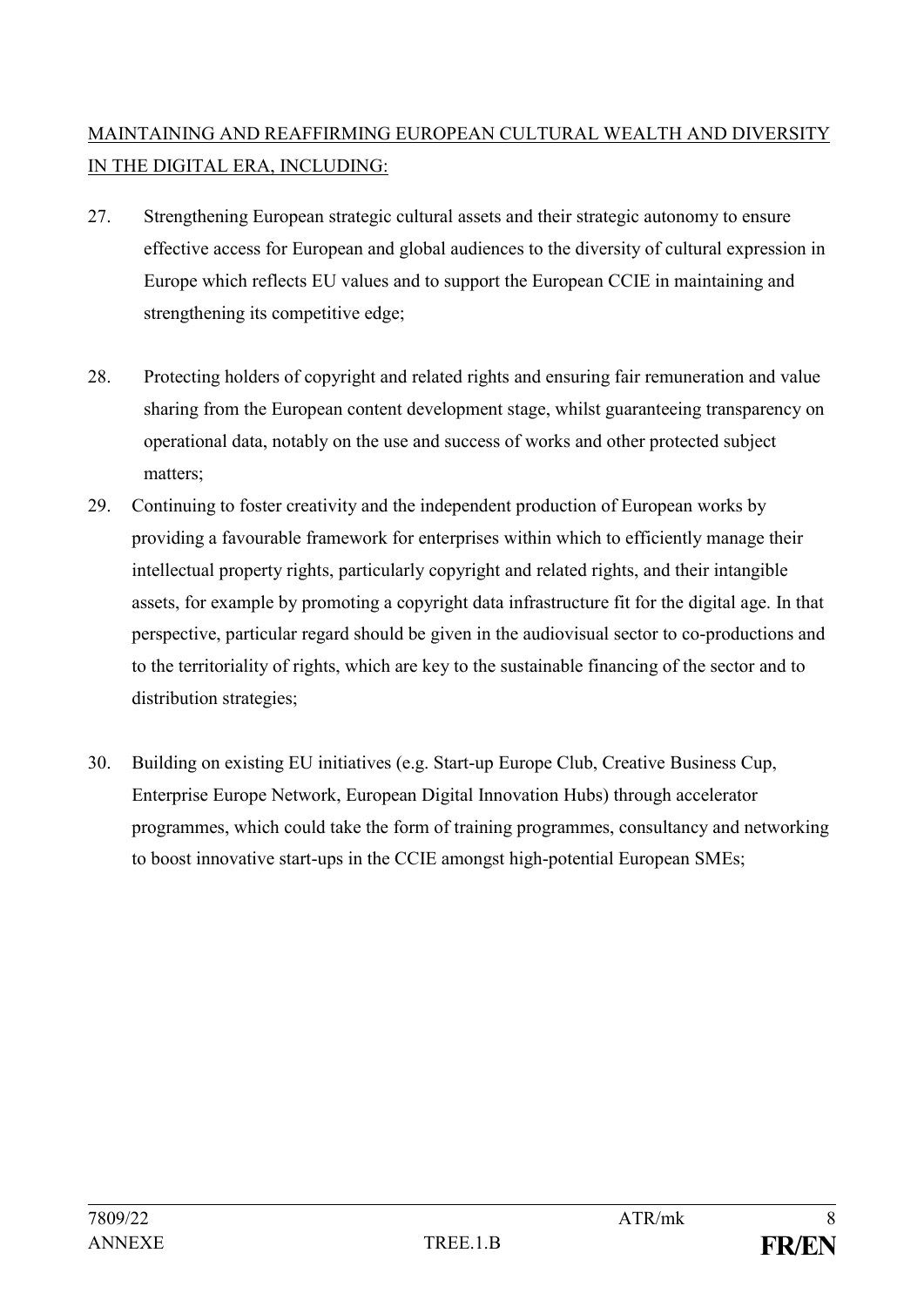# MAINTAINING AND REAFFIRMING EUROPEAN CULTURAL WEALTH AND DIVERSITY IN THE DIGITAL ERA, INCLUDING:

- 27. Strengthening European strategic cultural assets and their strategic autonomy to ensure effective access for European and global audiences to the diversity of cultural expression in Europe which reflects EU values and to support the European CCIE in maintaining and strengthening its competitive edge;
- 28. Protecting holders of copyright and related rights and ensuring fair remuneration and value sharing from the European content development stage, whilst guaranteeing transparency on operational data, notably on the use and success of works and other protected subject matters;
- 29. Continuing to foster creativity and the independent production of European works by providing a favourable framework for enterprises within which to efficiently manage their intellectual property rights, particularly copyright and related rights, and their intangible assets, for example by promoting a copyright data infrastructure fit for the digital age. In that perspective, particular regard should be given in the audiovisual sector to co-productions and to the territoriality of rights, which are key to the sustainable financing of the sector and to distribution strategies;
- 30. Building on existing EU initiatives (e.g. Start-up Europe Club, Creative Business Cup, Enterprise Europe Network, European Digital Innovation Hubs) through accelerator programmes, which could take the form of training programmes, consultancy and networking to boost innovative start-ups in the CCIE amongst high-potential European SMEs;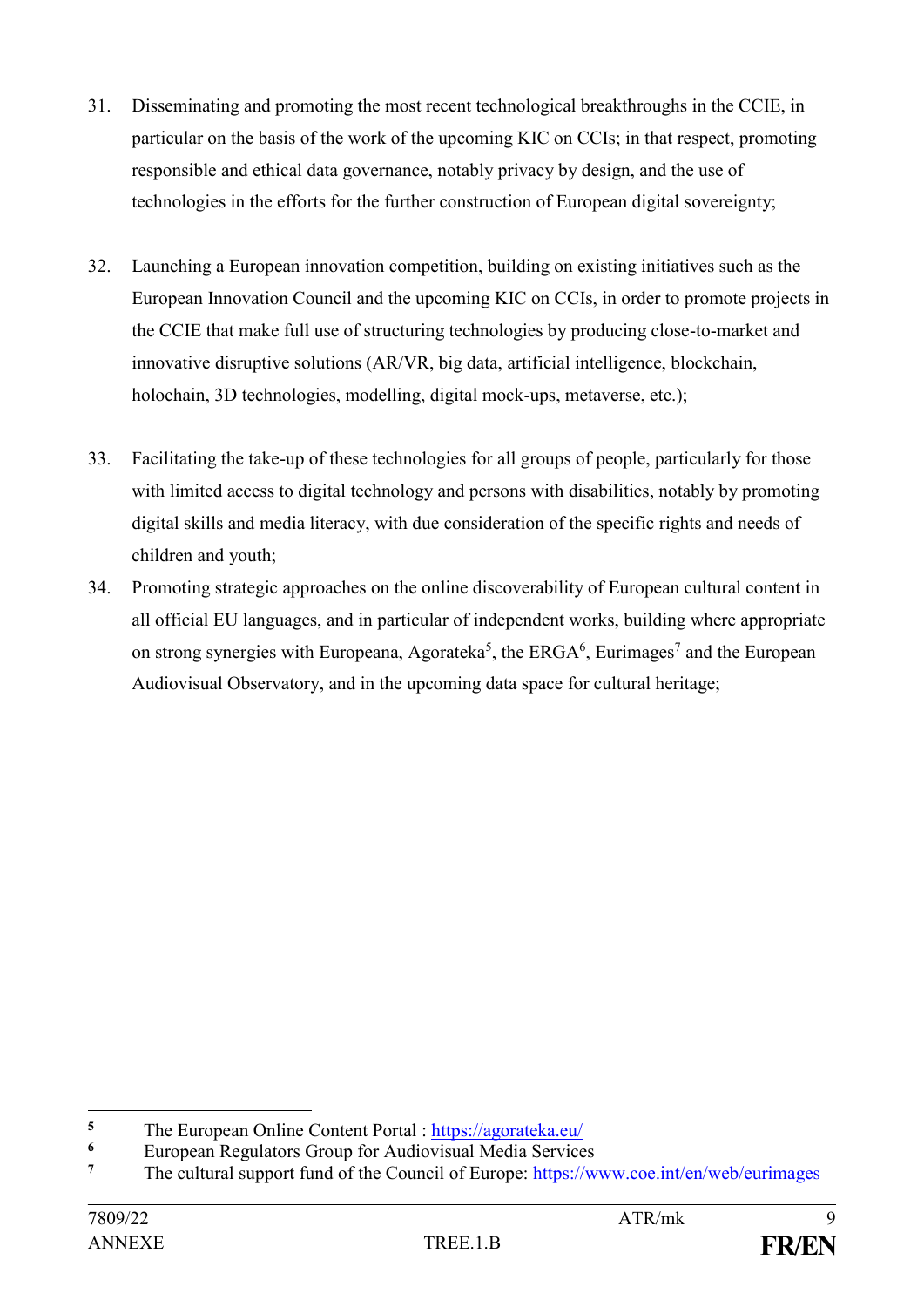- 31. Disseminating and promoting the most recent technological breakthroughs in the CCIE, in particular on the basis of the work of the upcoming KIC on CCIs; in that respect, promoting responsible and ethical data governance, notably privacy by design, and the use of technologies in the efforts for the further construction of European digital sovereignty;
- 32. Launching a European innovation competition, building on existing initiatives such as the European Innovation Council and the upcoming KIC on CCIs, in order to promote projects in the CCIE that make full use of structuring technologies by producing close-to-market and innovative disruptive solutions (AR/VR, big data, artificial intelligence, blockchain, holochain, 3D technologies, modelling, digital mock-ups, metaverse, etc.);
- 33. Facilitating the take-up of these technologies for all groups of people, particularly for those with limited access to digital technology and persons with disabilities, notably by promoting digital skills and media literacy, with due consideration of the specific rights and needs of children and youth;
- 34. Promoting strategic approaches on the online discoverability of European cultural content in all official EU languages, and in particular of independent works, building where appropriate on strong synergies with Europeana, Agorateka<sup>5</sup>, the ERGA<sup>6</sup>, Eurimages<sup>7</sup> and the European Audiovisual Observatory, and in the upcoming data space for cultural heritage;

<sup>1</sup> <sup>5</sup> The European Online Content Portal :<https://agorateka.eu/><br><sup>6</sup> European Regulators Group for Audiovisual Media Service

<sup>&</sup>lt;sup>6</sup> European Regulators Group for Audiovisual Media Services<br><sup>7</sup> The cultural support find of the Council of Europe: https://w

**<sup>7</sup>** The cultural support fund of the Council of Europe:<https://www.coe.int/en/web/eurimages>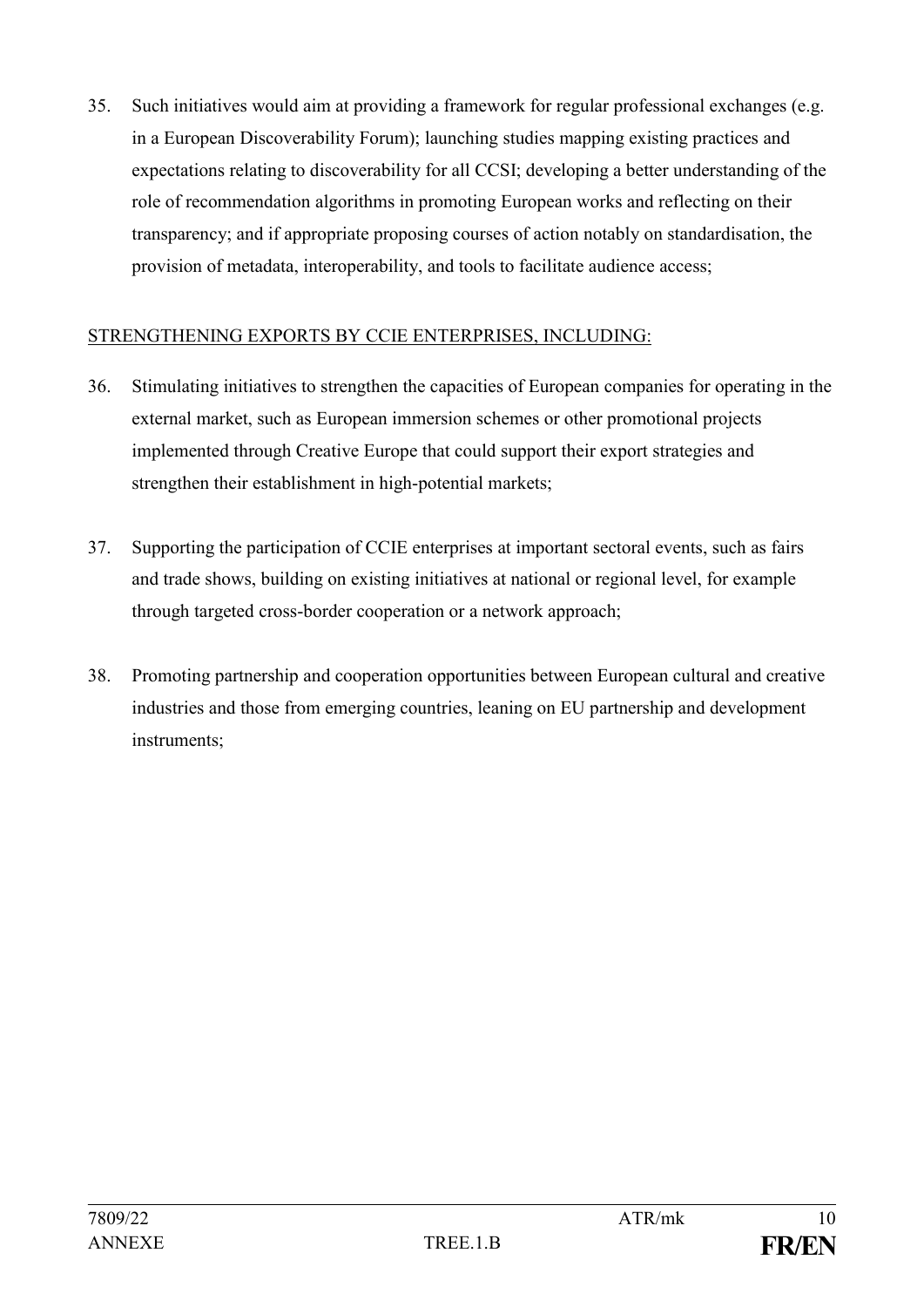35. Such initiatives would aim at providing a framework for regular professional exchanges (e.g. in a European Discoverability Forum); launching studies mapping existing practices and expectations relating to discoverability for all CCSI; developing a better understanding of the role of recommendation algorithms in promoting European works and reflecting on their transparency; and if appropriate proposing courses of action notably on standardisation, the provision of metadata, interoperability, and tools to facilitate audience access;

## STRENGTHENING EXPORTS BY CCIE ENTERPRISES, INCLUDING:

- 36. Stimulating initiatives to strengthen the capacities of European companies for operating in the external market, such as European immersion schemes or other promotional projects implemented through Creative Europe that could support their export strategies and strengthen their establishment in high-potential markets;
- 37. Supporting the participation of CCIE enterprises at important sectoral events, such as fairs and trade shows, building on existing initiatives at national or regional level, for example through targeted cross-border cooperation or a network approach;
- 38. Promoting partnership and cooperation opportunities between European cultural and creative industries and those from emerging countries, leaning on EU partnership and development instruments;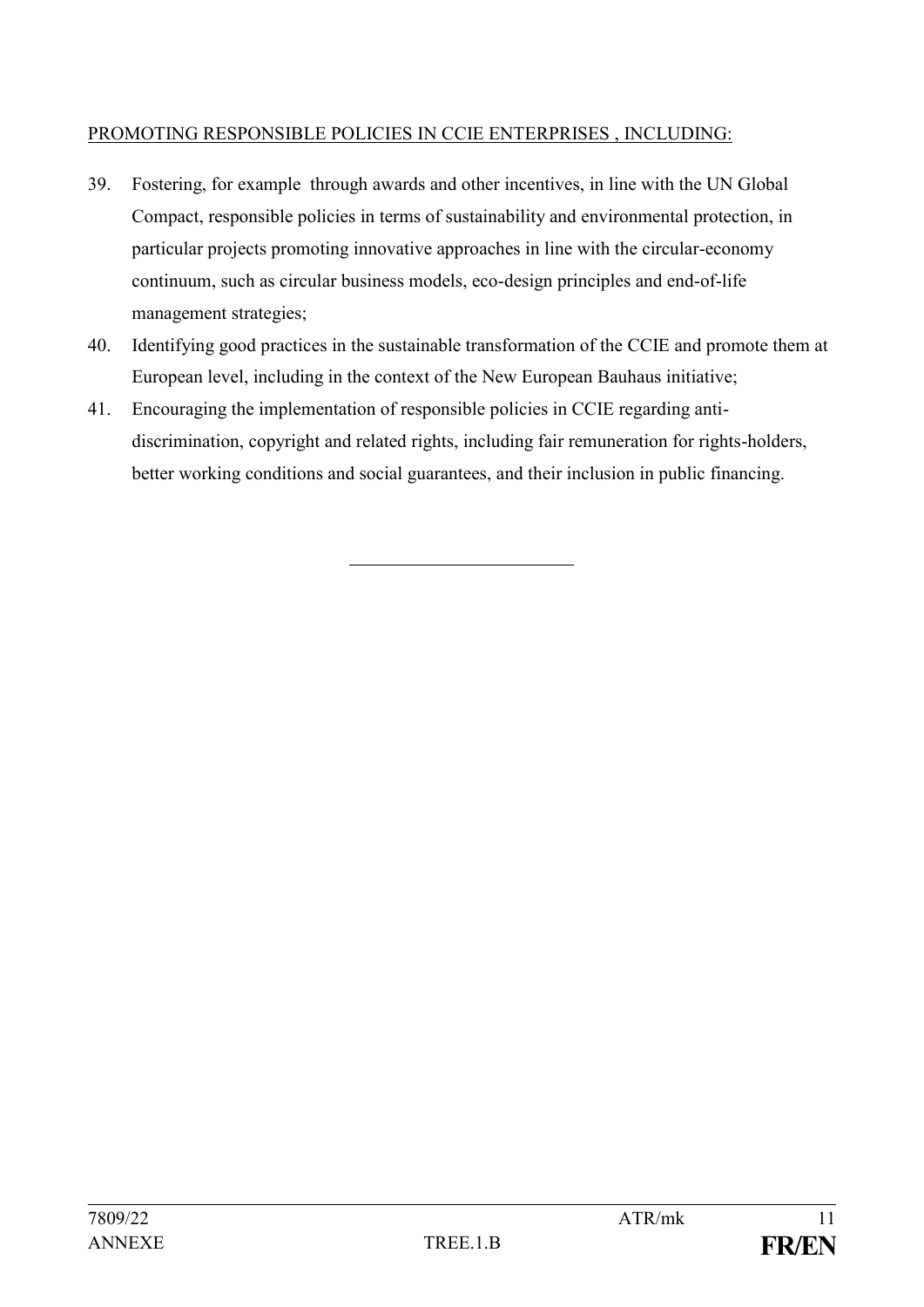## PROMOTING RESPONSIBLE POLICIES IN CCIE ENTERPRISES , INCLUDING:

- 39. Fostering, for example through awards and other incentives, in line with the UN Global Compact, responsible policies in terms of sustainability and environmental protection, in particular projects promoting innovative approaches in line with the circular-economy continuum, such as circular business models, eco-design principles and end-of-life management strategies;
- 40. Identifying good practices in the sustainable transformation of the CCIE and promote them at European level, including in the context of the New European Bauhaus initiative;
- 41. Encouraging the implementation of responsible policies in CCIE regarding antidiscrimination, copyright and related rights, including fair remuneration for rights-holders, better working conditions and social guarantees, and their inclusion in public financing.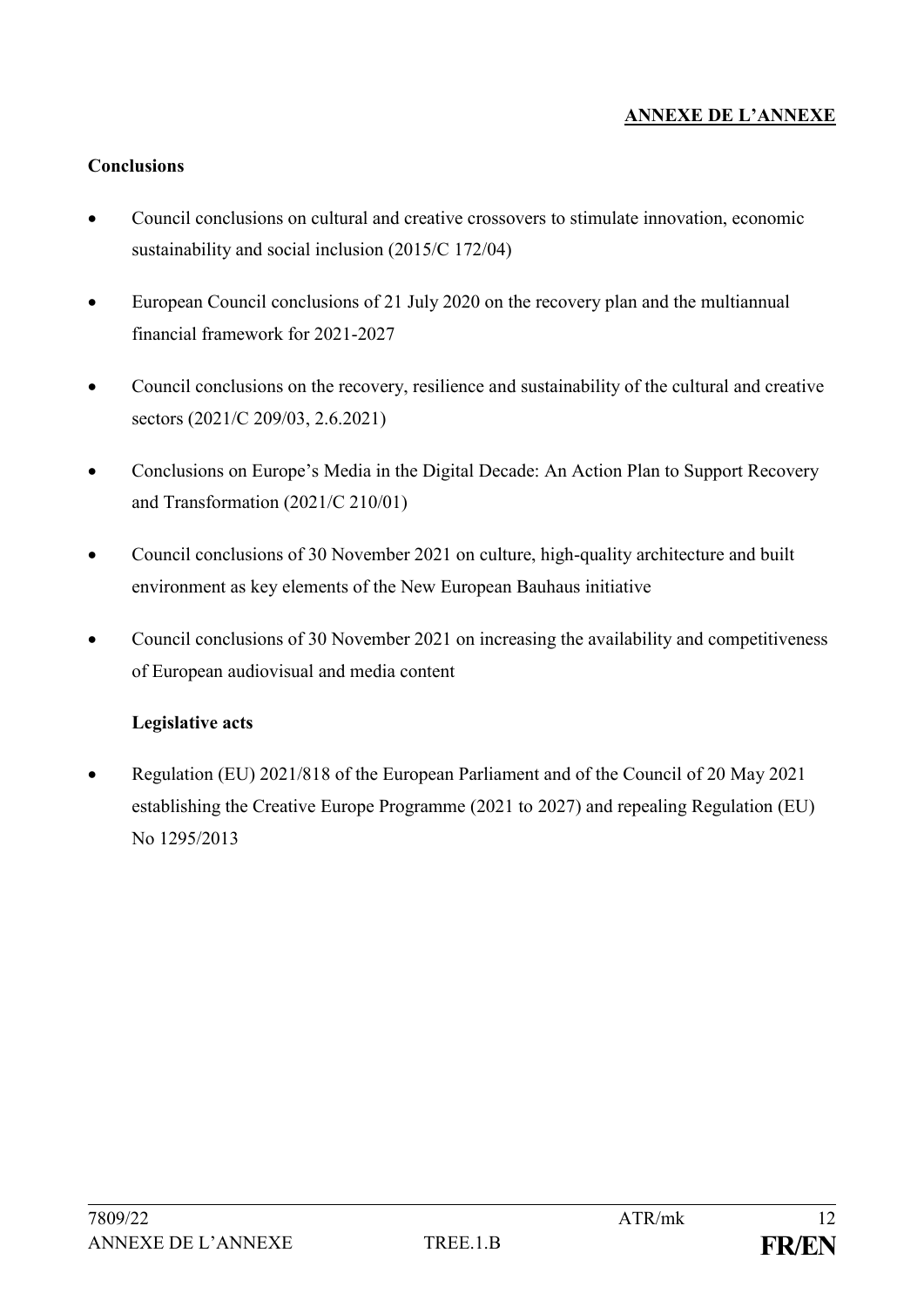## **ANNEXE DE L'ANNEXE**

#### **Conclusions**

- Council conclusions on cultural and creative crossovers to stimulate innovation, economic sustainability and social inclusion (2015/C 172/04)
- European Council conclusions of 21 July 2020 on the recovery plan and the multiannual financial framework for 2021-2027
- Council conclusions on the recovery, resilience and sustainability of the cultural and creative sectors (2021/C 209/03, 2.6.2021)
- Conclusions on Europe's Media in the Digital Decade: An Action Plan to Support Recovery and Transformation (2021/C 210/01)
- Council conclusions of 30 November 2021 on culture, high-quality architecture and built environment as key elements of the New European Bauhaus initiative
- Council conclusions of 30 November 2021 on increasing the availability and competitiveness of European audiovisual and media content

#### **Legislative acts**

• Regulation (EU) 2021/818 of the European Parliament and of the Council of 20 May 2021 establishing the Creative Europe Programme (2021 to 2027) and repealing Regulation (EU) No 1295/2013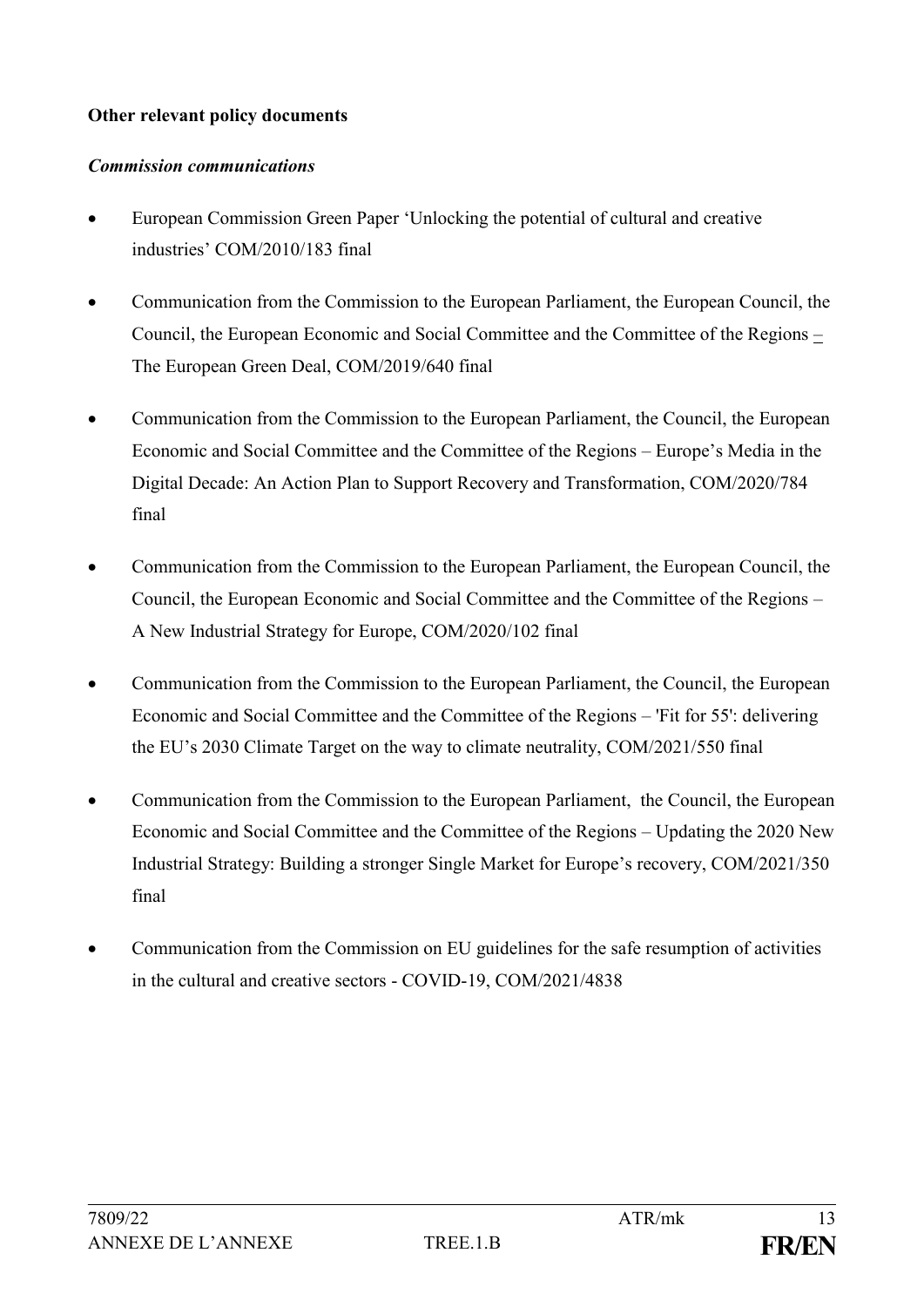### **Other relevant policy documents**

#### *Commission communications*

- European Commission Green Paper 'Unlocking the potential of cultural and creative industries' COM/2010/183 final
- Communication from the Commission to the European Parliament, the European Council, the Council, the European Economic and Social Committee and the Committee of the Regions – The European Green Deal, COM/2019/640 final
- Communication from the Commission to the European Parliament, the Council, the European Economic and Social Committee and the Committee of the Regions – Europe's Media in the Digital Decade: An Action Plan to Support Recovery and Transformation, COM/2020/784 final
- Communication from the Commission to the European Parliament, the European Council, the Council, the European Economic and Social Committee and the Committee of the Regions – A New Industrial Strategy for Europe, COM/2020/102 final
- Communication from the Commission to the European Parliament, the Council, the European Economic and Social Committee and the Committee of the Regions – 'Fit for 55': delivering the EU's 2030 Climate Target on the way to climate neutrality, COM/2021/550 final
- Communication from the Commission to the European Parliament, the Council, the European Economic and Social Committee and the Committee of the Regions – Updating the 2020 New Industrial Strategy: Building a stronger Single Market for Europe's recovery, COM/2021/350 final
- Communication from the Commission on EU guidelines for the safe resumption of activities in the cultural and creative sectors - COVID-19, COM/2021/4838